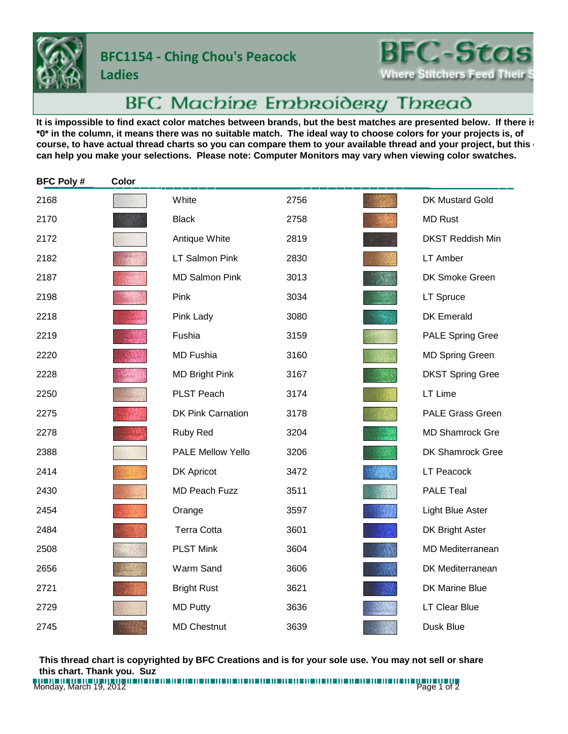**Ladies**

## **BFC1154 - Ching Chou's Peacock**

**BFC-Stas Where Stitchers Feed Their** 

## BFC Machine Embroidery Thread

It is impossible to find exact color matches between brands, but the best matches are presented below. If there is **\*0\* in the column, it means there was no suitable match. The ideal way to choose colors for your projects is, of**  course, to have actual thread charts so you can compare them to your available thread and your project, but this **can help you make your selections. Please note: Computer Monitors may vary when viewing color swatches.**

| <b>BFC Poly#</b> | Color |                          |      |                         |
|------------------|-------|--------------------------|------|-------------------------|
| 2168             |       | White                    | 2756 | DK Mustard Gold         |
| 2170             |       | <b>Black</b>             | 2758 | <b>MD Rust</b>          |
| 2172             |       | Antique White            | 2819 | <b>DKST Reddish Min</b> |
| 2182             |       | <b>LT Salmon Pink</b>    | 2830 | <b>LT Amber</b>         |
| 2187             |       | <b>MD Salmon Pink</b>    | 3013 | DK Smoke Green          |
| 2198             |       | Pink                     | 3034 | <b>LT Spruce</b>        |
| 2218             |       | Pink Lady                | 3080 | <b>DK Emerald</b>       |
| 2219             |       | Fushia                   | 3159 | <b>PALE Spring Gree</b> |
| 2220             |       | <b>MD Fushia</b>         | 3160 | <b>MD Spring Green</b>  |
| 2228             |       | <b>MD Bright Pink</b>    | 3167 | <b>DKST Spring Gree</b> |
| 2250             |       | PLST Peach               | 3174 | LT Lime                 |
| 2275             |       | <b>DK Pink Carnation</b> | 3178 | <b>PALE Grass Green</b> |
| 2278             |       | Ruby Red                 | 3204 | <b>MD Shamrock Gre</b>  |
| 2388             |       | <b>PALE Mellow Yello</b> | 3206 | DK Shamrock Gree        |
| 2414             |       | <b>DK Apricot</b>        | 3472 | <b>LT Peacock</b>       |
| 2430             |       | <b>MD Peach Fuzz</b>     | 3511 | <b>PALE Teal</b>        |
| 2454             |       | Orange                   | 3597 | Light Blue Aster        |
| 2484             |       | <b>Terra Cotta</b>       | 3601 | DK Bright Aster         |
| 2508             |       | <b>PLST Mink</b>         | 3604 | <b>MD Mediterranean</b> |
| 2656             |       | Warm Sand                | 3606 | DK Mediterranean        |
| 2721             |       | <b>Bright Rust</b>       | 3621 | DK Marine Blue          |
| 2729             |       | <b>MD Putty</b>          | 3636 | <b>LT Clear Blue</b>    |
| 2745             |       | <b>MD Chestnut</b>       | 3639 | Dusk Blue               |

**This thread chart is copyrighted by BFC Creations and is for your sole use. You may not sell or share this chart. Thank you. Suz**